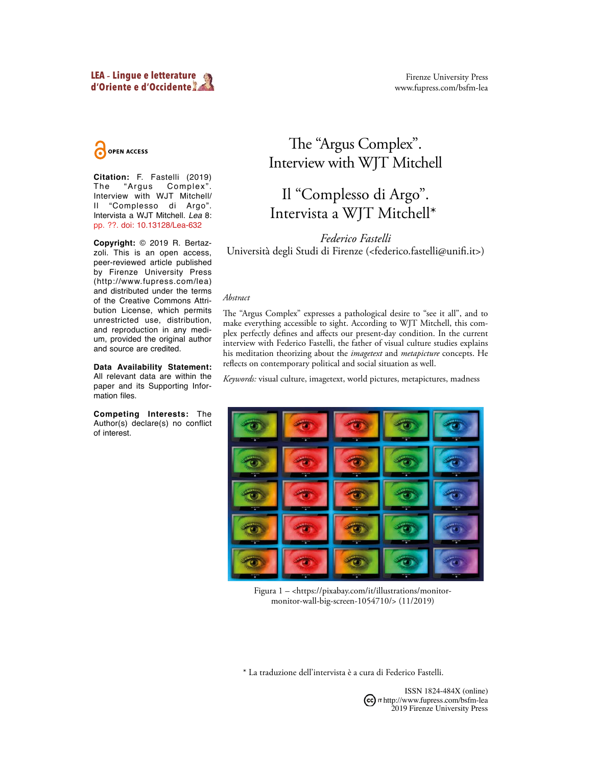OPEN ACCESS

**Citation:** F. Fastelli (2019)<br>The "Argus Complex". Complex". Interview with WJT Mitchell/ Il "Complesso di Argo". Intervista a WJT Mitchell. *Lea* 8: pp. ??. doi: 10.13128/Lea-632

**Copyright:** © 2019 R. Bertazzoli. This is an open access, peer-reviewed article published by Firenze University Press (http://www.fupress.com/lea) and distributed under the terms of the Creative Commons Attribution License, which permits unrestricted use, distribution, and reproduction in any medium, provided the original author and source are credited.

**Data Availability Statement:** All relevant data are within the paper and its Supporting Information files.

**Competing Interests:** The Author(s) declare(s) no conflict of interest.

## The "Argus Complex". Interview with WJT Mitchell

# Il "Complesso di Argo". Intervista a WJT Mitchell\*1

*Federico Fastelli* Università degli Studi di Firenze (<federico.fastelli@unifi .it>)

## *Abstract*

The "Argus Complex" expresses a pathological desire to "see it all", and to make everything accessible to sight. According to WJT Mitchell, this complex perfectly defines and affects our present-day condition. In the current interview with Federico Fastelli, the father of visual culture studies explains his meditation theorizing about the *imagetext* and *metapicture* concepts. He reflects on contemporary political and social situation as well.

*Keywords:* visual culture, imagetext, world pictures, metapictures, madness



Figura 1 – <https://pixabay.com/it/illustrations/monitormonitor-wall-big-screen-1054710/> (11/2019)

\* La traduzione dell'intervista è a cura di Federico Fastelli.



ISSN 1824-484X (online)  $(cc)$   $\pi$  http://www.fupress.com/bsfm-lea 2019 Firenze University Press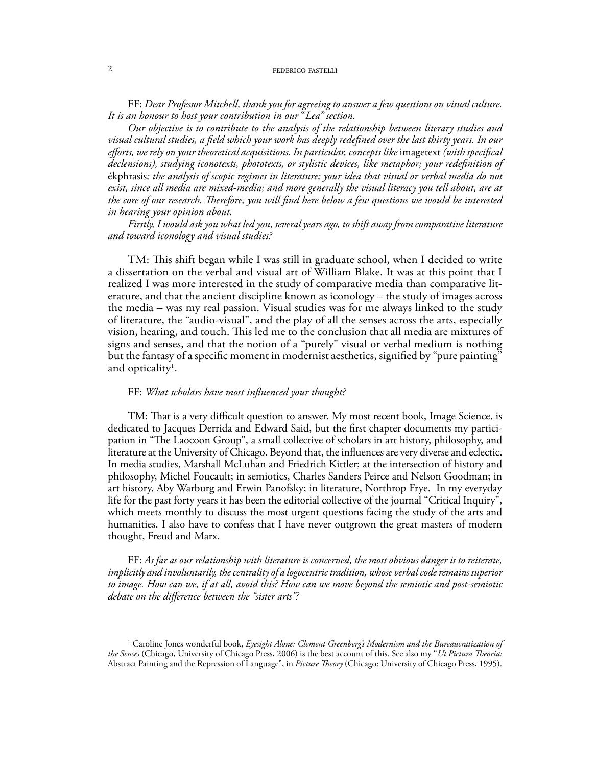#### 2 **federal federal federal fastelli**

FF: *Dear Professor Mitchell, thank you for agreeing to answer a few questions on visual culture. It is an honour to host your contribution in our* "*Lea" section.* 

*Our objective is to contribute to the analysis of the relationship between literary studies and visual cultural studies, a field which your work has deeply redefined over the last thirty years. In our efforts, we rely on your theoretical acquisitions. In particular, concepts like* imagetext *(with specifical declensions), studying iconotexts, phototexts, or stylistic devices, like metaphor; your redefinition of*  ékphrasis*; the analysis of scopic regimes in literature; your idea that visual or verbal media do not exist, since all media are mixed-media; and more generally the visual literacy you tell about, are at the core of our research. Therefore, you will find here below a few questions we would be interested in hearing your opinion about.* 

*Firstly, I would ask you what led you, several years ago, to shift away from comparative literature and toward iconology and visual studies?*

TM: This shift began while I was still in graduate school, when I decided to write a dissertation on the verbal and visual art of William Blake. It was at this point that I realized I was more interested in the study of comparative media than comparative literature, and that the ancient discipline known as iconology – the study of images across the media – was my real passion. Visual studies was for me always linked to the study of literature, the "audio-visual", and the play of all the senses across the arts, especially vision, hearing, and touch. This led me to the conclusion that all media are mixtures of signs and senses, and that the notion of a "purely" visual or verbal medium is nothing but the fantasy of a specific moment in modernist aesthetics, signified by "pure painting" and opticality $^1$ .

## FF: *What scholars have most influenced your thought?*

TM: That is a very difficult question to answer. My most recent book, Image Science, is dedicated to Jacques Derrida and Edward Said, but the first chapter documents my participation in "The Laocoon Group", a small collective of scholars in art history, philosophy, and literature at the University of Chicago. Beyond that, the influences are very diverse and eclectic. In media studies, Marshall McLuhan and Friedrich Kittler; at the intersection of history and philosophy, Michel Foucault; in semiotics, Charles Sanders Peirce and Nelson Goodman; in art history, Aby Warburg and Erwin Panofsky; in literature, Northrop Frye. In my everyday life for the past forty years it has been the editorial collective of the journal "Critical Inquiry", which meets monthly to discuss the most urgent questions facing the study of the arts and humanities. I also have to confess that I have never outgrown the great masters of modern thought, Freud and Marx.

FF: *As far as our relationship with literature is concerned, the most obvious danger is to reiterate, implicitly and involuntarily, the centrality of a logocentric tradition, whose verbal code remains superior to image. How can we, if at all, avoid this? How can we move beyond the semiotic and post-semiotic debate on the difference between the "sister arts"?*

<sup>&</sup>lt;sup>1</sup> Caroline Jones wonderful book, *Eyesight Alone: Clement Greenberg's Modernism and the Bureaucratization of the Senses* (Chicago, University of Chicago Press, 2006) is the best account of this. See also my "*Ut Pictura Theoria:*  Abstract Painting and the Repression of Language", in *Picture Theory* (Chicago: University of Chicago Press, 1995).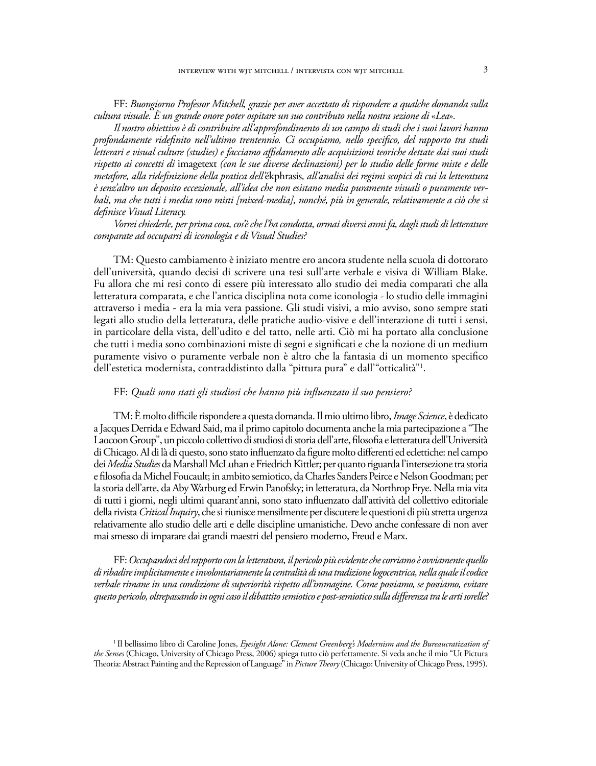FF: *Buongiorno Professor Mitchell, grazie per aver accettato di rispondere a qualche domanda sulla cultura visuale. È un grande onore poter ospitare un suo contributo nella nostra sezione di* «*Lea*»*.* 

*Il nostro obiettivo è di contribuire all'approfondimento di un campo di studi che i suoi lavori hanno profondamente ridefinito nell'ultimo trentennio. Ci occupiamo, nello specifico, del rapporto tra studi letterari e visual culture (studies) e facciamo affidamento alle acquisizioni teoriche dettate dai suoi studi rispetto ai concetti di* imagetext *(con le sue diverse declinazioni) per lo studio delle forme miste e delle metafore, alla ridefinizione della pratica dell'*ékphrasis*, all'analisi dei regimi scopici di cui la letteratura è senz'altro un deposito eccezionale, all'idea che non esistano media puramente visuali o puramente verbali, ma che tutti i media sono misti [mixed-media], nonché, più in generale, relativamente a ciò che si definisce Visual Literacy.* 

*Vorrei chiederle, per prima cosa, cos'è che l'ha condotta, ormai diversi anni fa, dagli studi di letterature comparate ad occuparsi di iconologia e di Visual Studies?*

TM: Questo cambiamento è iniziato mentre ero ancora studente nella scuola di dottorato dell'università, quando decisi di scrivere una tesi sull'arte verbale e visiva di William Blake. Fu allora che mi resi conto di essere più interessato allo studio dei media comparati che alla letteratura comparata, e che l'antica disciplina nota come iconologia - lo studio delle immagini attraverso i media - era la mia vera passione. Gli studi visivi, a mio avviso, sono sempre stati legati allo studio della letteratura, delle pratiche audio-visive e dell'interazione di tutti i sensi, in particolare della vista, dell'udito e del tatto, nelle arti. Ciò mi ha portato alla conclusione che tutti i media sono combinazioni miste di segni e significati e che la nozione di un medium puramente visivo o puramente verbale non è altro che la fantasia di un momento specifico dell'estetica modernista, contraddistinto dalla "pittura pura" e dall'"otticalità"1 .

## FF: *Quali sono stati gli studiosi che hanno più influenzato il suo pensiero?*

TM: È molto difficile rispondere a questa domanda. Il mio ultimo libro, *Image Science*, è dedicato a Jacques Derrida e Edward Said, ma il primo capitolo documenta anche la mia partecipazione a "The Laocoon Group", un piccolo collettivo di studiosi di storia dell'arte, filosofia e letteratura dell'Università di Chicago. Al di là di questo, sono stato influenzato da figure molto differenti ed eclettiche: nel campo dei *Media Studies* da Marshall McLuhan e Friedrich Kittler; per quanto riguarda l'intersezione tra storia e filosofia da Michel Foucault; in ambito semiotico, da Charles Sanders Peirce e Nelson Goodman; per la storia dell'arte, da Aby Warburg ed Erwin Panofsky; in letteratura, da Northrop Frye. Nella mia vita di tutti i giorni, negli ultimi quarant'anni, sono stato influenzato dall'attività del collettivo editoriale della rivista *Critical Inquiry*, che si riunisce mensilmente per discutere le questioni di più stretta urgenza relativamente allo studio delle arti e delle discipline umanistiche. Devo anche confessare di non aver mai smesso di imparare dai grandi maestri del pensiero moderno, Freud e Marx.

FF: *Occupandoci del rapporto con la letteratura, il pericolo più evidente che corriamo è ovviamente quello di ribadire implicitamente e involontariamente la centralità di una tradizione logocentrica, nella quale il codice verbale rimane in una condizione di superiorità rispetto all'immagine. Come possiamo, se possiamo, evitare questo pericolo, oltrepassando in ogni caso il dibattito semiotico e post-semiotico sulla differenza tra le arti sorelle?*

<sup>&</sup>lt;sup>1</sup> Il bellissimo libro di Caroline Jones, *Eyesight Alone: Clement Greenberg's Modernism and the Bureaucratization of the Senses* (Chicago, University of Chicago Press, 2006) spiega tutto ciò perfettamente. Si veda anche il mio "Ut Pictura Theoria:Abstract Painting and the Repression of Language" in *Picture Theory* (Chicago: University of Chicago Press, 1995).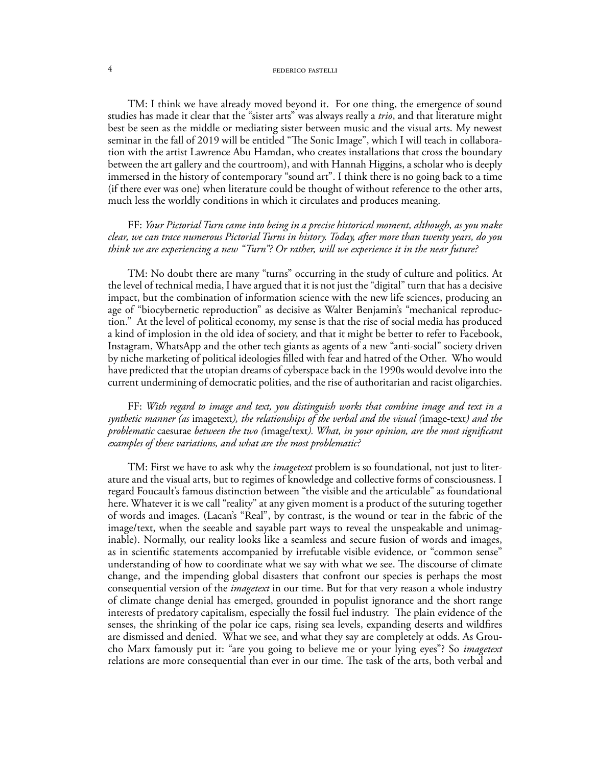#### 4 federal fraction of the set of the set of the set of the set of the set of the set of the set of the set of the set of the set of the set of the set of the set of the set of the set of the set of the set of the set of th

TM: I think we have already moved beyond it. For one thing, the emergence of sound studies has made it clear that the "sister arts" was always really a *trio*, and that literature might best be seen as the middle or mediating sister between music and the visual arts. My newest seminar in the fall of 2019 will be entitled "The Sonic Image", which I will teach in collaboration with the artist Lawrence Abu Hamdan, who creates installations that cross the boundary between the art gallery and the courtroom), and with Hannah Higgins, a scholar who is deeply immersed in the history of contemporary "sound art". I think there is no going back to a time (if there ever was one) when literature could be thought of without reference to the other arts, much less the worldly conditions in which it circulates and produces meaning.

## FF: *Your Pictorial Turn came into being in a precise historical moment, although, as you make clear, we can trace numerous Pictorial Turns in history. Today, after more than twenty years, do you think we are experiencing a new "Turn"? Or rather, will we experience it in the near future?*

TM: No doubt there are many "turns" occurring in the study of culture and politics. At the level of technical media, I have argued that it is not just the "digital" turn that has a decisive impact, but the combination of information science with the new life sciences, producing an age of "biocybernetic reproduction" as decisive as Walter Benjamin's "mechanical reproduction." At the level of political economy, my sense is that the rise of social media has produced a kind of implosion in the old idea of society, and that it might be better to refer to Facebook, Instagram, WhatsApp and the other tech giants as agents of a new "anti-social" society driven by niche marketing of political ideologies filled with fear and hatred of the Other. Who would have predicted that the utopian dreams of cyberspace back in the 1990s would devolve into the current undermining of democratic polities, and the rise of authoritarian and racist oligarchies.

FF: *With regard to image and text, you distinguish works that combine image and text in a synthetic manner (as* imagetext*), the relationships of the verbal and the visual (*image-text*) and the problematic* caesurae *between the two (*image/text*). What, in your opinion, are the most significant examples of these variations, and what are the most problematic?*

TM: First we have to ask why the *imagetext* problem is so foundational, not just to literature and the visual arts, but to regimes of knowledge and collective forms of consciousness. I regard Foucault's famous distinction between "the visible and the articulable" as foundational here. Whatever it is we call "reality" at any given moment is a product of the suturing together of words and images. (Lacan's "Real", by contrast, is the wound or tear in the fabric of the image/text, when the seeable and sayable part ways to reveal the unspeakable and unimaginable). Normally, our reality looks like a seamless and secure fusion of words and images, as in scientific statements accompanied by irrefutable visible evidence, or "common sense" understanding of how to coordinate what we say with what we see. The discourse of climate change, and the impending global disasters that confront our species is perhaps the most consequential version of the *imagetext* in our time. But for that very reason a whole industry of climate change denial has emerged, grounded in populist ignorance and the short range interests of predatory capitalism, especially the fossil fuel industry. The plain evidence of the senses, the shrinking of the polar ice caps, rising sea levels, expanding deserts and wildfires are dismissed and denied. What we see, and what they say are completely at odds. As Groucho Marx famously put it: "are you going to believe me or your lying eyes"? So *imagetext* relations are more consequential than ever in our time. The task of the arts, both verbal and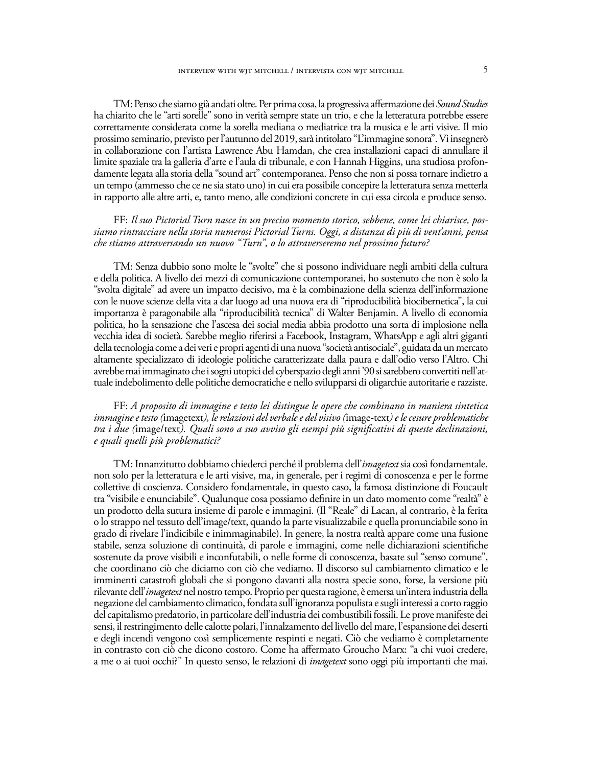TM: Penso che siamo già andati oltre. Per prima cosa, la progressiva affermazione dei *Sound Studies* ha chiarito che le "arti sorelle" sono in verità sempre state un trio, e che la letteratura potrebbe essere correttamente considerata come la sorella mediana o mediatrice tra la musica e le arti visive. Il mio prossimo seminario, previsto per l'autunno del 2019, sarà intitolato "L'immagine sonora". Vi insegnerò in collaborazione con l'artista Lawrence Abu Hamdan, che crea installazioni capaci di annullare il limite spaziale tra la galleria d'arte e l'aula di tribunale, e con Hannah Higgins, una studiosa profondamente legata alla storia della "sound art" contemporanea. Penso che non si possa tornare indietro a un tempo (ammesso che ce ne sia stato uno) in cui era possibile concepire la letteratura senza metterla in rapporto alle altre arti, e, tanto meno, alle condizioni concrete in cui essa circola e produce senso.

## FF: *Il suo Pictorial Turn nasce in un preciso momento storico, sebbene, come lei chiarisce, possiamo rintracciare nella storia numerosi Pictorial Turns. Oggi, a distanza di più di vent'anni, pensa che stiamo attraversando un nuovo "Turn", o lo attraverseremo nel prossimo futuro?*

TM: Senza dubbio sono molte le "svolte" che si possono individuare negli ambiti della cultura e della politica. A livello dei mezzi di comunicazione contemporanei, ho sostenuto che non è solo la "svolta digitale" ad avere un impatto decisivo, ma è la combinazione della scienza dell'informazione con le nuove scienze della vita a dar luogo ad una nuova era di "riproducibilità biocibernetica", la cui importanza è paragonabile alla "riproducibilità tecnica" di Walter Benjamin. A livello di economia politica, ho la sensazione che l'ascesa dei social media abbia prodotto una sorta di implosione nella vecchia idea di società. Sarebbe meglio riferirsi a Facebook, Instagram, WhatsApp e agli altri giganti della tecnologia come a dei veri e propri agenti di una nuova "società antisociale", guidata da un mercato altamente specializzato di ideologie politiche caratterizzate dalla paura e dall'odio verso l'Altro. Chi avrebbe mai immaginato che i sogni utopici del cyberspazio degli anni '90 si sarebbero convertiti nell'attuale indebolimento delle politiche democratiche e nello svilupparsi di oligarchie autoritarie e razziste.

## FF: *A proposito di immagine e testo lei distingue le opere che combinano in maniera sintetica immagine e testo (*imagetext*), le relazioni del verbale e del visivo (*image-text*) e le cesure problematiche tra i due (*image/text*). Quali sono a suo avviso gli esempi più significativi di queste declinazioni, e quali quelli più problematici?*

TM: Innanzitutto dobbiamo chiederci perché il problema dell'*imagetext* sia così fondamentale, non solo per la letteratura e le arti visive, ma, in generale, per i regimi di conoscenza e per le forme collettive di coscienza. Considero fondamentale, in questo caso, la famosa distinzione di Foucault tra "visibile e enunciabile". Qualunque cosa possiamo definire in un dato momento come "realtà" è un prodotto della sutura insieme di parole e immagini. (Il "Reale" di Lacan, al contrario, è la ferita o lo strappo nel tessuto dell'image/text, quando la parte visualizzabile e quella pronunciabile sono in grado di rivelare l'indicibile e inimmaginabile). In genere, la nostra realtà appare come una fusione stabile, senza soluzione di continuità, di parole e immagini, come nelle dichiarazioni scientifiche sostenute da prove visibili e inconfutabili, o nelle forme di conoscenza, basate sul "senso comune", che coordinano ciò che diciamo con ciò che vediamo. Il discorso sul cambiamento climatico e le imminenti catastrofi globali che si pongono davanti alla nostra specie sono, forse, la versione più rilevante dell'*imagetext* nel nostro tempo. Proprio per questa ragione, è emersa un'intera industria della negazione del cambiamento climatico, fondata sull'ignoranza populista e sugli interessi a corto raggio del capitalismo predatorio, in particolare dell'industria dei combustibili fossili. Le prove manifeste dei sensi, il restringimento delle calotte polari, l'innalzamento del livello del mare, l'espansione dei deserti e degli incendi vengono così semplicemente respinti e negati. Ciò che vediamo è completamente in contrasto con ciò che dicono costoro. Come ha affermato Groucho Marx: "a chi vuoi credere, a me o ai tuoi occhi?" In questo senso, le relazioni di *imagetext* sono oggi più importanti che mai.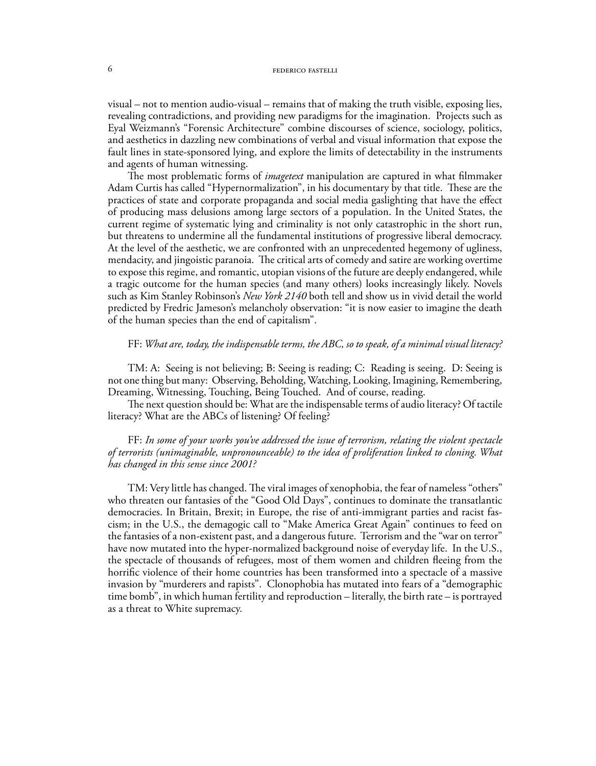visual – not to mention audio-visual – remains that of making the truth visible, exposing lies, revealing contradictions, and providing new paradigms for the imagination. Projects such as Eyal Weizmann's "Forensic Architecture" combine discourses of science, sociology, politics, and aesthetics in dazzling new combinations of verbal and visual information that expose the fault lines in state-sponsored lying, and explore the limits of detectability in the instruments and agents of human witnessing.

The most problematic forms of *imagetext* manipulation are captured in what filmmaker Adam Curtis has called "Hypernormalization", in his documentary by that title. These are the practices of state and corporate propaganda and social media gaslighting that have the effect of producing mass delusions among large sectors of a population. In the United States, the current regime of systematic lying and criminality is not only catastrophic in the short run, but threatens to undermine all the fundamental institutions of progressive liberal democracy. At the level of the aesthetic, we are confronted with an unprecedented hegemony of ugliness, mendacity, and jingoistic paranoia. The critical arts of comedy and satire are working overtime to expose this regime, and romantic, utopian visions of the future are deeply endangered, while a tragic outcome for the human species (and many others) looks increasingly likely. Novels such as Kim Stanley Robinson's *New York 2140* both tell and show us in vivid detail the world predicted by Fredric Jameson's melancholy observation: "it is now easier to imagine the death of the human species than the end of capitalism".

## FF: *What are, today, the indispensable terms, the ABC, so to speak, of a minimal visual literacy?*

TM: A: Seeing is not believing; B: Seeing is reading; C: Reading is seeing. D: Seeing is not one thing but many: Observing, Beholding, Watching, Looking, Imagining, Remembering, Dreaming, Witnessing, Touching, Being Touched. And of course, reading.

The next question should be: What are the indispensable terms of audio literacy? Of tactile literacy? What are the ABCs of listening? Of feeling?

FF: *In some of your works you've addressed the issue of terrorism, relating the violent spectacle of terrorists (unimaginable, unpronounceable) to the idea of proliferation linked to cloning. What has changed in this sense since 2001?*

TM: Very little has changed. The viral images of xenophobia, the fear of nameless "others" who threaten our fantasies of the "Good Old Days", continues to dominate the transatlantic democracies. In Britain, Brexit; in Europe, the rise of anti-immigrant parties and racist fascism; in the U.S., the demagogic call to "Make America Great Again" continues to feed on the fantasies of a non-existent past, and a dangerous future. Terrorism and the "war on terror" have now mutated into the hyper-normalized background noise of everyday life. In the U.S., the spectacle of thousands of refugees, most of them women and children fleeing from the horrific violence of their home countries has been transformed into a spectacle of a massive invasion by "murderers and rapists". Clonophobia has mutated into fears of a "demographic time bomb", in which human fertility and reproduction – literally, the birth rate – is portrayed as a threat to White supremacy.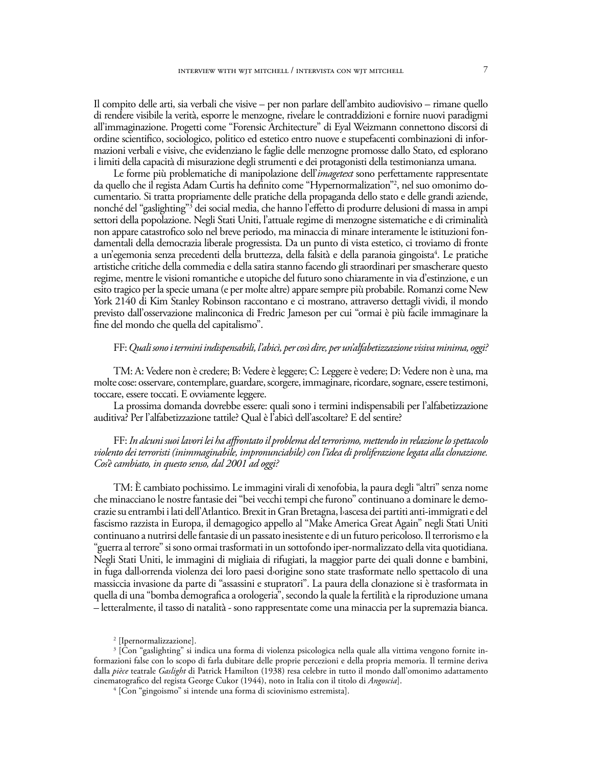Il compito delle arti, sia verbali che visive – per non parlare dell'ambito audiovisivo – rimane quello di rendere visibile la verità, esporre le menzogne, rivelare le contraddizioni e fornire nuovi paradigmi all'immaginazione. Progetti come "Forensic Architecture" di Eyal Weizmann connettono discorsi di ordine scientifico, sociologico, politico ed estetico entro nuove e stupefacenti combinazioni di informazioni verbali e visive, che evidenziano le faglie delle menzogne promosse dallo Stato, ed esplorano i limiti della capacità di misurazione degli strumenti e dei protagonisti della testimonianza umana.

Le forme più problematiche di manipolazione dell'*imagetext* sono perfettamente rappresentate da quello che il regista Adam Curtis ha definito come "Hypernormalization"2 , nel suo omonimo documentario. Si tratta propriamente delle pratiche della propaganda dello stato e delle grandi aziende, nonché del "gaslighting"3 dei social media, che hanno l'effetto di produrre delusioni di massa in ampi settori della popolazione. Negli Stati Uniti, l'attuale regime di menzogne sistematiche e di criminalità non appare catastrofico solo nel breve periodo, ma minaccia di minare interamente le istituzioni fondamentali della democrazia liberale progressista. Da un punto di vista estetico, ci troviamo di fronte a un'egemonia senza precedenti della bruttezza, della falsità e della paranoia gingoista<sup>4</sup>. Le pratiche artistiche critiche della commedia e della satira stanno facendo gli straordinari per smascherare questo regime, mentre le visioni romantiche e utopiche del futuro sono chiaramente in via d'estinzione, e un esito tragico per la specie umana (e per molte altre) appare sempre più probabile. Romanzi come New York 2140 di Kim Stanley Robinson raccontano e ci mostrano, attraverso dettagli vividi, il mondo previsto dall'osservazione malinconica di Fredric Jameson per cui "ormai è più facile immaginare la fine del mondo che quella del capitalismo".

## FF: *Quali sono i termini indispensabili, l'abicì, per così dire, per un'alfabetizzazione visiva minima, oggi?*

TM: A: Vedere non è credere; B: Vedere è leggere; C: Leggere è vedere; D: Vedere non è una, ma molte cose: osservare, contemplare, guardare, scorgere, immaginare, ricordare, sognare, essere testimoni, toccare, essere toccati. E ovviamente leggere.

La prossima domanda dovrebbe essere: quali sono i termini indispensabili per l'alfabetizzazione auditiva? Per l'alfabetizzazione tattile? Qual è l'abicì dell'ascoltare? E del sentire?

FF: *In alcuni suoi lavori lei ha affrontato il problema del terrorismo, mettendo in relazione lo spettacolo violento dei terroristi (inimmaginabile, impronunciabile) con l'idea di proliferazione legata alla clonazione. Cos'è cambiato, in questo senso, dal 2001 ad oggi?* 

TM: È cambiato pochissimo. Le immagini virali di xenofobia, la paura degli "altri" senza nome che minacciano le nostre fantasie dei "bei vecchi tempi che furono" continuano a dominare le democrazie su entrambi i lati dell'Atlantico. Brexit in Gran Bretagna, l›ascesa dei partiti anti-immigrati e del fascismo razzista in Europa, il demagogico appello al "Make America Great Again" negli Stati Uniti continuano a nutrirsi delle fantasie di un passato inesistente e di un futuro pericoloso. Il terrorismo e la "guerra al terrore" si sono ormai trasformati in un sottofondo iper-normalizzato della vita quotidiana. Negli Stati Uniti, le immagini di migliaia di rifugiati, la maggior parte dei quali donne e bambini, in fuga dallorrenda violenza dei loro paesi dorigine sono state trasformate nello spettacolo di una massiccia invasione da parte di "assassini e stupratori". La paura della clonazione si è trasformata in quella di una "bomba demografica a orologeria", secondo la quale la fertilità e la riproduzione umana – letteralmente, il tasso di natalità - sono rappresentate come una minaccia per la supremazia bianca.

<sup>2</sup> [Ipernormalizzazione].

<sup>3</sup> [Con "gaslighting" si indica una forma di violenza psicologica nella quale alla vittima vengono fornite informazioni false con lo scopo di farla dubitare delle proprie percezioni e della propria memoria. Il termine deriva dalla *pièce* teatrale *Gaslight* di Patrick Hamilton (1938) resa celebre in tutto il mondo dall'omonimo adattamento cinematografico del regista George Cukor (1944), noto in Italia con il titolo di *Angoscia*].

<sup>4</sup> [Con "gingoismo" si intende una forma di sciovinismo estremista].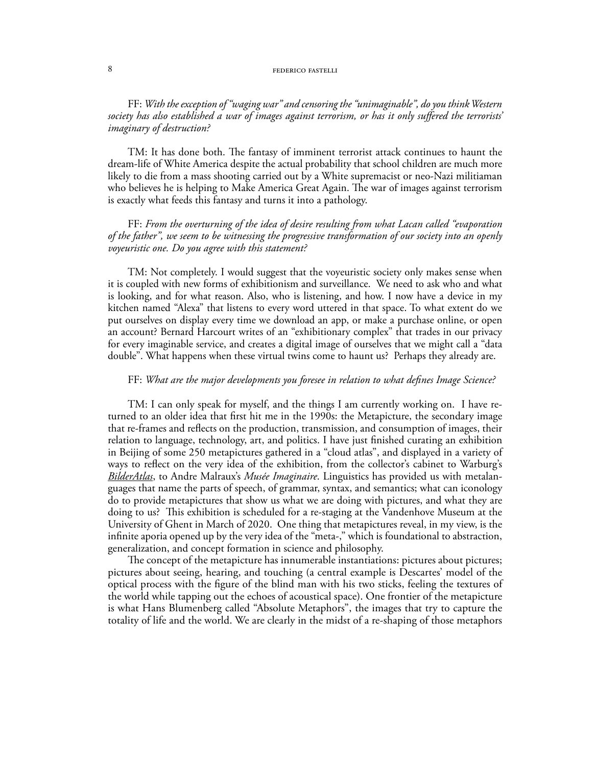#### 8 **SUPPLIES FEDERICO FASTELLI**

FF: *With the exception of "waging war" and censoring the "unimaginable", do you think Western society has also established a war of images against terrorism, or has it only suffered the terrorists' imaginary of destruction?*

TM: It has done both. The fantasy of imminent terrorist attack continues to haunt the dream-life of White America despite the actual probability that school children are much more likely to die from a mass shooting carried out by a White supremacist or neo-Nazi militiaman who believes he is helping to Make America Great Again. The war of images against terrorism is exactly what feeds this fantasy and turns it into a pathology.

FF: *From the overturning of the idea of desire resulting from what Lacan called "evaporation of the father", we seem to be witnessing the progressive transformation of our society into an openly voyeuristic one. Do you agree with this statement?*

TM: Not completely. I would suggest that the voyeuristic society only makes sense when it is coupled with new forms of exhibitionism and surveillance. We need to ask who and what is looking, and for what reason. Also, who is listening, and how. I now have a device in my kitchen named "Alexa" that listens to every word uttered in that space. To what extent do we put ourselves on display every time we download an app, or make a purchase online, or open an account? Bernard Harcourt writes of an "exhibitionary complex" that trades in our privacy for every imaginable service, and creates a digital image of ourselves that we might call a "data double". What happens when these virtual twins come to haunt us? Perhaps they already are.

## FF: *What are the major developments you foresee in relation to what defines Image Science?*

TM: I can only speak for myself, and the things I am currently working on. I have returned to an older idea that first hit me in the 1990s: the Metapicture, the secondary image that re-frames and reflects on the production, transmission, and consumption of images, their relation to language, technology, art, and politics. I have just finished curating an exhibition in Beijing of some 250 metapictures gathered in a "cloud atlas", and displayed in a variety of ways to reflect on the very idea of the exhibition, from the collector's cabinet to Warburg's *BilderAtlas*, to Andre Malraux's *Musée Imaginaire*. Linguistics has provided us with metalanguages that name the parts of speech, of grammar, syntax, and semantics; what can iconology do to provide metapictures that show us what we are doing with pictures, and what they are doing to us? This exhibition is scheduled for a re-staging at the Vandenhove Museum at the University of Ghent in March of 2020. One thing that metapictures reveal, in my view, is the infinite aporia opened up by the very idea of the "meta-," which is foundational to abstraction, generalization, and concept formation in science and philosophy.

The concept of the metapicture has innumerable instantiations: pictures about pictures; pictures about seeing, hearing, and touching (a central example is Descartes' model of the optical process with the figure of the blind man with his two sticks, feeling the textures of the world while tapping out the echoes of acoustical space). One frontier of the metapicture is what Hans Blumenberg called "Absolute Metaphors", the images that try to capture the totality of life and the world. We are clearly in the midst of a re-shaping of those metaphors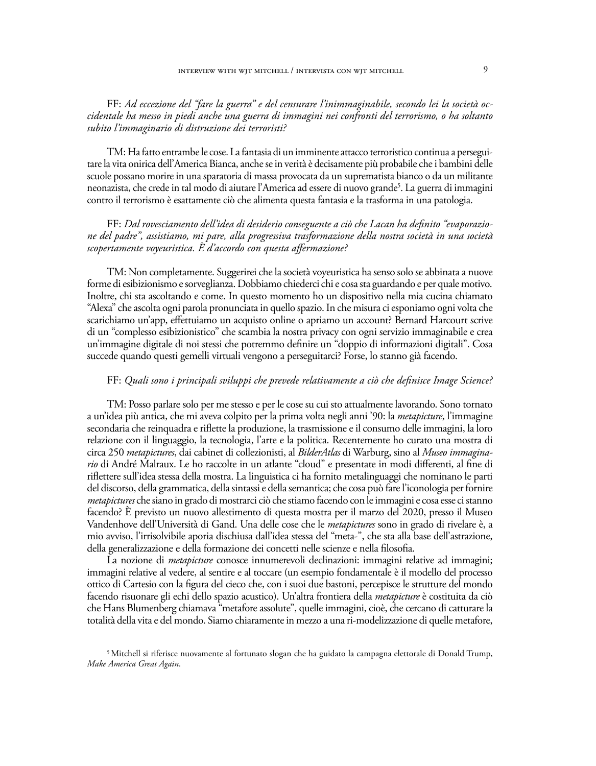FF: *Ad eccezione del "fare la guerra" e del censurare l'inimmaginabile, secondo lei la società occidentale ha messo in piedi anche una guerra di immagini nei confronti del terrorismo, o ha soltanto subito l'immaginario di distruzione dei terroristi?*

TM: Ha fatto entrambe le cose. La fantasia di un imminente attacco terroristico continua a perseguitare la vita onirica dell'America Bianca, anche se in verità è decisamente più probabile che i bambini delle scuole possano morire in una sparatoria di massa provocata da un suprematista bianco o da un militante neonazista, che crede in tal modo di aiutare l'America ad essere di nuovo grande<sup>5</sup>. La guerra di immagini contro il terrorismo è esattamente ciò che alimenta questa fantasia e la trasforma in una patologia.

## FF: *Dal rovesciamento dell'idea di desiderio conseguente a ciò che Lacan ha definito "evaporazione del padre", assistiamo, mi pare, alla progressiva trasformazione della nostra società in una società scopertamente voyeuristica. È d'accordo con questa affermazione?*

TM: Non completamente. Suggerirei che la società voyeuristica ha senso solo se abbinata a nuove forme di esibizionismo e sorveglianza. Dobbiamo chiederci chi e cosa sta guardando e per quale motivo. Inoltre, chi sta ascoltando e come. In questo momento ho un dispositivo nella mia cucina chiamato "Alexa" che ascolta ogni parola pronunciata in quello spazio. In che misura ci esponiamo ogni volta che scarichiamo un'app, effettuiamo un acquisto online o apriamo un account? Bernard Harcourt scrive di un "complesso esibizionistico" che scambia la nostra privacy con ogni servizio immaginabile e crea un'immagine digitale di noi stessi che potremmo definire un "doppio di informazioni digitali". Cosa succede quando questi gemelli virtuali vengono a perseguitarci? Forse, lo stanno già facendo.

## FF: *Quali sono i principali sviluppi che prevede relativamente a ciò che definisce Image Science?*

TM: Posso parlare solo per me stesso e per le cose su cui sto attualmente lavorando. Sono tornato a un'idea più antica, che mi aveva colpito per la prima volta negli anni '90: la *metapicture*, l'immagine secondaria che reinquadra e riflette la produzione, la trasmissione e il consumo delle immagini, la loro relazione con il linguaggio, la tecnologia, l'arte e la politica. Recentemente ho curato una mostra di circa 250 *metapictures*, dai cabinet di collezionisti, al *BilderAtlas* di Warburg, sino al *Museo immaginario* di André Malraux. Le ho raccolte in un atlante "cloud" e presentate in modi differenti, al fine di riflettere sull'idea stessa della mostra. La linguistica ci ha fornito metalinguaggi che nominano le parti del discorso, della grammatica, della sintassi e della semantica; che cosa può fare l'iconologia per fornire *metapictures* che siano in grado di mostrarci ciò che stiamo facendo con le immagini e cosa esse ci stanno facendo? È previsto un nuovo allestimento di questa mostra per il marzo del 2020, presso il Museo Vandenhove dell'Università di Gand. Una delle cose che le *metapictures* sono in grado di rivelare è, a mio avviso, l'irrisolvibile aporia dischiusa dall'idea stessa del "meta-", che sta alla base dell'astrazione, della generalizzazione e della formazione dei concetti nelle scienze e nella filosofia.

La nozione di *metapicture* conosce innumerevoli declinazioni: immagini relative ad immagini; immagini relative al vedere, al sentire e al toccare (un esempio fondamentale è il modello del processo ottico di Cartesio con la figura del cieco che, con i suoi due bastoni, percepisce le strutture del mondo facendo risuonare gli echi dello spazio acustico). Un'altra frontiera della *metapicture* è costituita da ciò che Hans Blumenberg chiamava "metafore assolute", quelle immagini, cioè, che cercano di catturare la totalità della vita e del mondo. Siamo chiaramente in mezzo a una ri-modelizzazione di quelle metafore,

<sup>5</sup> Mitchell si riferisce nuovamente al fortunato slogan che ha guidato la campagna elettorale di Donald Trump, *Make America Great Again*.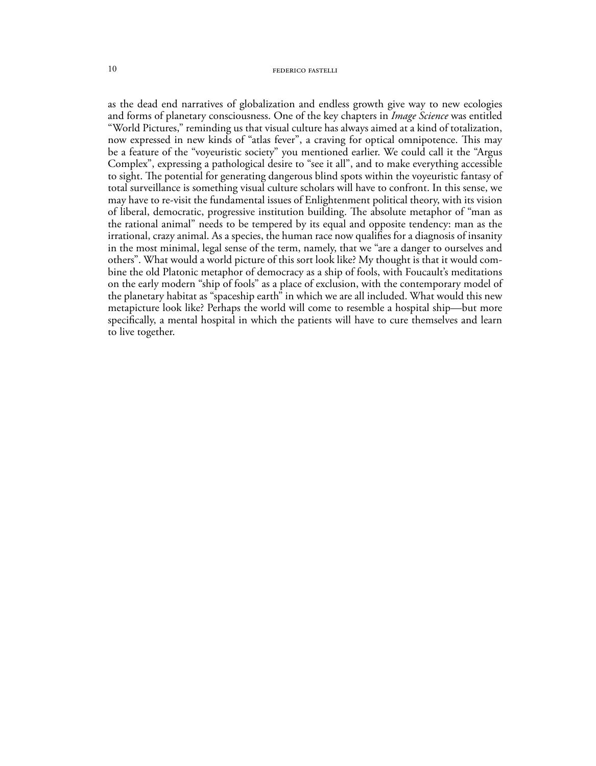as the dead end narratives of globalization and endless growth give way to new ecologies and forms of planetary consciousness. One of the key chapters in *Image Science* was entitled "World Pictures," reminding us that visual culture has always aimed at a kind of totalization, now expressed in new kinds of "atlas fever", a craving for optical omnipotence. This may be a feature of the "voyeuristic society" you mentioned earlier. We could call it the "Argus Complex", expressing a pathological desire to "see it all", and to make everything accessible to sight. The potential for generating dangerous blind spots within the voyeuristic fantasy of total surveillance is something visual culture scholars will have to confront. In this sense, we may have to re-visit the fundamental issues of Enlightenment political theory, with its vision of liberal, democratic, progressive institution building. The absolute metaphor of "man as the rational animal" needs to be tempered by its equal and opposite tendency: man as the irrational, crazy animal. As a species, the human race now qualifies for a diagnosis of insanity in the most minimal, legal sense of the term, namely, that we "are a danger to ourselves and others". What would a world picture of this sort look like? My thought is that it would combine the old Platonic metaphor of democracy as a ship of fools, with Foucault's meditations on the early modern "ship of fools" as a place of exclusion, with the contemporary model of the planetary habitat as "spaceship earth" in which we are all included. What would this new metapicture look like? Perhaps the world will come to resemble a hospital ship—but more specifically, a mental hospital in which the patients will have to cure themselves and learn to live together.